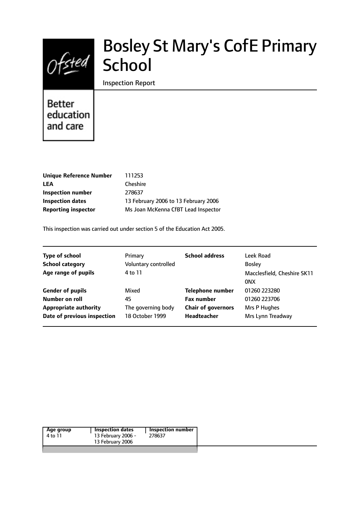

# Bosley St Mary's CofE Primary **School**

Inspection Report

Better education and care

| Unique Reference Number    | 111253                               |
|----------------------------|--------------------------------------|
| LEA                        | Cheshire                             |
| Inspection number          | 278637                               |
| <b>Inspection dates</b>    | 13 February 2006 to 13 February 2006 |
| <b>Reporting inspector</b> | Ms Joan McKenna CfBT Lead Inspector  |
|                            |                                      |

This inspection was carried out under section 5 of the Education Act 2005.

| <b>Type of school</b>        | Primary              | <b>School address</b>     | Leek Road                   |
|------------------------------|----------------------|---------------------------|-----------------------------|
| <b>School category</b>       | Voluntary controlled |                           | <b>Bosley</b>               |
| Age range of pupils          | 4 to 11              |                           | Macclesfield, Cheshire SK11 |
|                              |                      |                           | 0NX                         |
| <b>Gender of pupils</b>      | Mixed                | <b>Telephone number</b>   | 01260 223280                |
| Number on roll               | 45                   | <b>Fax number</b>         | 01260 223706                |
| <b>Appropriate authority</b> | The governing body   | <b>Chair of governors</b> | Mrs P Hughes                |
| Date of previous inspection  | 18 October 1999      | Headteacher               | Mrs Lynn Treadway           |
|                              |                      |                           |                             |

| 13 February 2006 | Age group | <b>Inspection dates</b> | <b>Inspection number</b> |
|------------------|-----------|-------------------------|--------------------------|
|                  | 4 to 11   | 13 February 2006 -      | 278637                   |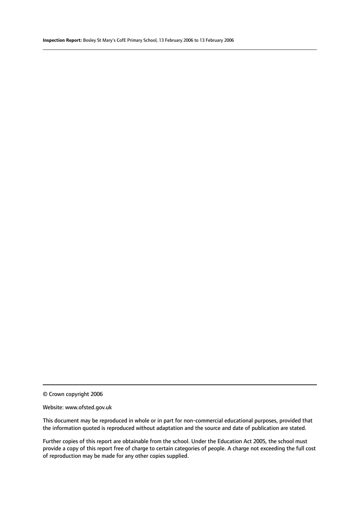© Crown copyright 2006

#### Website: www.ofsted.gov.uk

This document may be reproduced in whole or in part for non-commercial educational purposes, provided that the information quoted is reproduced without adaptation and the source and date of publication are stated.

Further copies of this report are obtainable from the school. Under the Education Act 2005, the school must provide a copy of this report free of charge to certain categories of people. A charge not exceeding the full cost of reproduction may be made for any other copies supplied.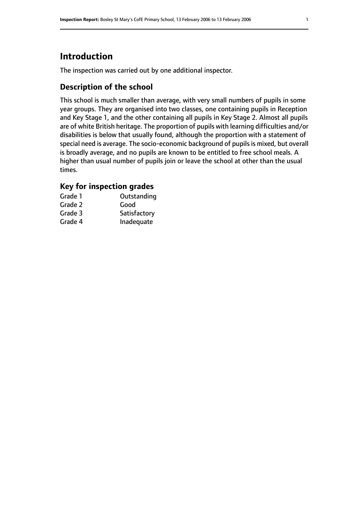# **Introduction**

The inspection was carried out by one additional inspector.

# **Description of the school**

This school is much smaller than average, with very small numbers of pupils in some year groups. They are organised into two classes, one containing pupils in Reception and Key Stage 1, and the other containing all pupils in Key Stage 2. Almost all pupils are of white British heritage. The proportion of pupils with learning difficulties and/or disabilities is below that usually found, although the proportion with a statement of special need is average. The socio-economic background of pupils is mixed, but overall is broadly average, and no pupils are known to be entitled to free school meals. A higher than usual number of pupils join or leave the school at other than the usual times.

# **Key for inspection grades**

| Grade 1 | Outstanding  |
|---------|--------------|
| Grade 2 | Good         |
| Grade 3 | Satisfactory |
| Grade 4 | Inadequate   |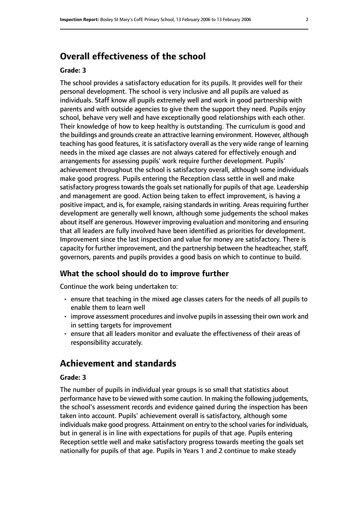# **Overall effectiveness of the school**

## **Grade: 3**

The school provides a satisfactory education for its pupils. It provides well for their personal development. The school is very inclusive and all pupils are valued as individuals. Staff know all pupils extremely well and work in good partnership with parents and with outside agencies to give them the support they need. Pupils enjoy school, behave very well and have exceptionally good relationships with each other. Their knowledge of how to keep healthy is outstanding. The curriculum is good and the buildings and grounds create an attractive learning environment. However, although teaching has good features, it is satisfactory overall as the very wide range of learning needs in the mixed age classes are not always catered for effectively enough and arrangements for assessing pupils' work require further development. Pupils' achievement throughout the school is satisfactory overall, although some individuals make good progress. Pupils entering the Reception class settle in well and make satisfactory progress towards the goals set nationally for pupils of that age. Leadership and management are good. Action being taken to effect improvement, is having a positive impact, and is, for example, raising standards in writing. Areas requiring further development are generally well known, although some judgements the school makes about itself are generous. However improving evaluation and monitoring and ensuring that all leaders are fully involved have been identified as priorities for development. Improvement since the last inspection and value for money are satisfactory. There is capacity for further improvement, and the partnership between the headteacher, staff, governors, parents and pupils provides a good basis on which to continue to build.

## **What the school should do to improve further**

Continue the work being undertaken to:

- ensure that teaching in the mixed age classes caters for the needs of all pupils to enable them to learn well
- improve assessment procedures and involve pupils in assessing their own work and in setting targets for improvement
- ensure that all leaders monitor and evaluate the effectiveness of their areas of responsibility accurately.

# **Achievement and standards**

#### **Grade: 3**

The number of pupils in individual year groups is so small that statistics about performance have to be viewed with some caution. In making the following judgements, the school's assessment records and evidence gained during the inspection has been taken into account. Pupils' achievement overall is satisfactory, although some individuals make good progress. Attainment on entry to the school varies for individuals, but in general is in line with expectations for pupils of that age. Pupils entering Reception settle well and make satisfactory progress towards meeting the goals set nationally for pupils of that age. Pupils in Years 1 and 2 continue to make steady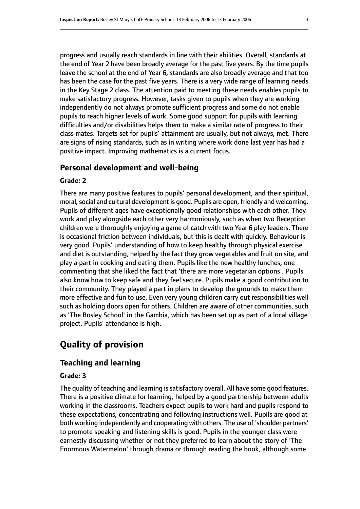progress and usually reach standards in line with their abilities. Overall, standards at the end of Year 2 have been broadly average for the past five years. By the time pupils leave the school at the end of Year 6, standards are also broadly average and that too has been the case for the past five years. There is a very wide range of learning needs in the Key Stage 2 class. The attention paid to meeting these needs enables pupils to make satisfactory progress. However, tasks given to pupils when they are working independently do not always promote sufficient progress and some do not enable pupils to reach higher levels of work. Some good support for pupils with learning difficulties and/or disabilities helps them to make a similar rate of progress to their class mates. Targets set for pupils' attainment are usually, but not always, met. There are signs of rising standards, such as in writing where work done last year has had a positive impact. Improving mathematics is a current focus.

### **Personal development and well-being**

### **Grade: 2**

There are many positive features to pupils' personal development, and their spiritual, moral, social and cultural development is good. Pupils are open, friendly and welcoming. Pupils of different ages have exceptionally good relationships with each other. They work and play alongside each other very harmoniously, such as when two Reception children were thoroughly enjoying a game of catch with two Year 6 play leaders. There is occasional friction between individuals, but this is dealt with quickly. Behaviour is very good. Pupils' understanding of how to keep healthy through physical exercise and diet is outstanding, helped by the fact they grow vegetables and fruit on site, and play a part in cooking and eating them. Pupils like the new healthy lunches, one commenting that she liked the fact that 'there are more vegetarian options'. Pupils also know how to keep safe and they feel secure. Pupils make a good contribution to their community. They played a part in plans to develop the grounds to make them more effective and fun to use. Even very young children carry out responsibilities well such as holding doors open for others. Children are aware of other communities, such as 'The Bosley School' in the Gambia, which has been set up as part of a local village project. Pupils' attendance is high.

# **Quality of provision**

# **Teaching and learning**

### **Grade: 3**

The quality of teaching and learning is satisfactory overall. All have some good features. There is a positive climate for learning, helped by a good partnership between adults working in the classrooms. Teachers expect pupils to work hard and pupils respond to these expectations, concentrating and following instructions well. Pupils are good at both working independently and cooperating with others. The use of 'shoulder partners' to promote speaking and listening skills is good. Pupils in the younger class were earnestly discussing whether or not they preferred to learn about the story of 'The Enormous Watermelon' through drama or through reading the book, although some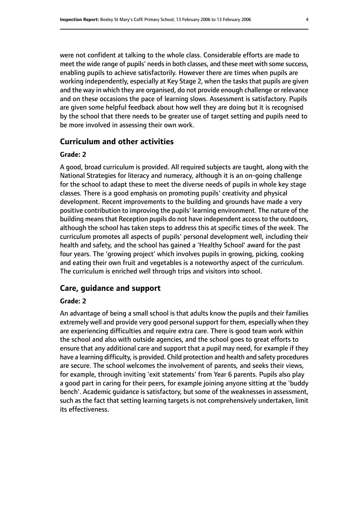were not confident at talking to the whole class. Considerable efforts are made to meet the wide range of pupils' needs in both classes, and these meet with some success, enabling pupils to achieve satisfactorily. However there are times when pupils are working independently, especially at Key Stage 2, when the tasks that pupils are given and the way in which they are organised, do not provide enough challenge or relevance and on these occasions the pace of learning slows. Assessment is satisfactory. Pupils are given some helpful feedback about how well they are doing but it is recognised by the school that there needs to be greater use of target setting and pupils need to be more involved in assessing their own work.

## **Curriculum and other activities**

### **Grade: 2**

A good, broad curriculum is provided. All required subjects are taught, along with the National Strategies for literacy and numeracy, although it is an on-going challenge for the school to adapt these to meet the diverse needs of pupils in whole key stage classes. There is a good emphasis on promoting pupils' creativity and physical development. Recent improvements to the building and grounds have made a very positive contribution to improving the pupils' learning environment. The nature of the building means that Reception pupils do not have independent access to the outdoors, although the school has taken steps to address this at specific times of the week. The curriculum promotes all aspects of pupils' personal development well, including their health and safety, and the school has gained a 'Healthy School' award for the past four years. The 'growing project' which involves pupils in growing, picking, cooking and eating their own fruit and vegetables is a noteworthy aspect of the curriculum. The curriculum is enriched well through trips and visitors into school.

# **Care, guidance and support**

## **Grade: 2**

An advantage of being a small school is that adults know the pupils and their families extremely well and provide very good personal support for them, especially when they are experiencing difficulties and require extra care. There is good team work within the school and also with outside agencies, and the school goes to great efforts to ensure that any additional care and support that a pupil may need, for example if they have a learning difficulty, is provided. Child protection and health and safety procedures are secure. The school welcomes the involvement of parents, and seeks their views, for example, through inviting 'exit statements' from Year 6 parents. Pupils also play a good part in caring for their peers, for example joining anyone sitting at the 'buddy bench'. Academic guidance is satisfactory, but some of the weaknesses in assessment, such as the fact that setting learning targets is not comprehensively undertaken, limit its effectiveness.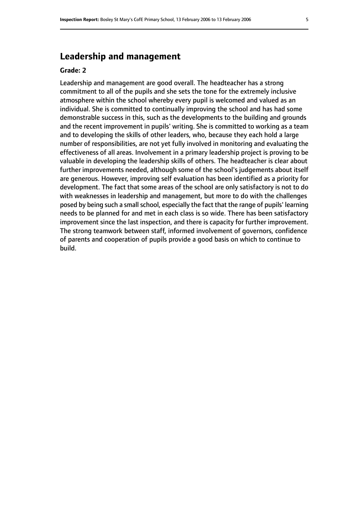# **Leadership and management**

## **Grade: 2**

Leadership and management are good overall. The headteacher has a strong commitment to all of the pupils and she sets the tone for the extremely inclusive atmosphere within the school whereby every pupil is welcomed and valued as an individual. She is committed to continually improving the school and has had some demonstrable success in this, such as the developments to the building and grounds and the recent improvement in pupils' writing. She is committed to working as a team and to developing the skills of other leaders, who, because they each hold a large number of responsibilities, are not yet fully involved in monitoring and evaluating the effectiveness of all areas. Involvement in a primary leadership project is proving to be valuable in developing the leadership skills of others. The headteacher is clear about further improvements needed, although some of the school's judgements about itself are generous. However, improving self evaluation has been identified as a priority for development. The fact that some areas of the school are only satisfactory is not to do with weaknesses in leadership and management, but more to do with the challenges posed by being such a small school, especially the fact that the range of pupils' learning needs to be planned for and met in each class is so wide. There has been satisfactory improvement since the last inspection, and there is capacity for further improvement. The strong teamwork between staff, informed involvement of governors, confidence of parents and cooperation of pupils provide a good basis on which to continue to build.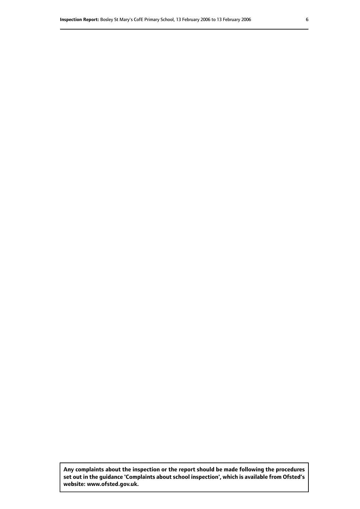**Any complaints about the inspection or the report should be made following the procedures set out inthe guidance 'Complaints about school inspection', whichis available from Ofsted's website: www.ofsted.gov.uk.**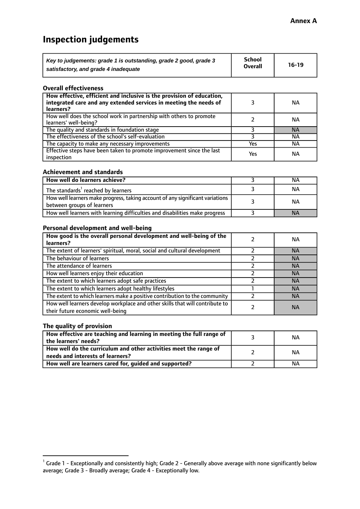# **Inspection judgements**

| Key to judgements: grade 1 is outstanding, grade 2 good, grade 3 | School         | $16-19$ |
|------------------------------------------------------------------|----------------|---------|
| satisfactory, and grade 4 inadequate                             | <b>Overall</b> |         |

#### **Overall effectiveness**

| How effective, efficient and inclusive is the provision of education,<br>integrated care and any extended services in meeting the needs of<br>learners? |     | NА        |
|---------------------------------------------------------------------------------------------------------------------------------------------------------|-----|-----------|
| How well does the school work in partnership with others to promote<br>learners' well-being?                                                            |     | NА        |
| The quality and standards in foundation stage                                                                                                           |     | <b>NA</b> |
| The effectiveness of the school's self-evaluation                                                                                                       |     | NА        |
| The capacity to make any necessary improvements                                                                                                         | Yes | NА        |
| Effective steps have been taken to promote improvement since the last<br>inspection                                                                     | Yes | <b>NA</b> |

#### **Achievement and standards**

| How well do learners achieve?                                                                               | ΝA        |
|-------------------------------------------------------------------------------------------------------------|-----------|
| The standards <sup>1</sup> reached by learners                                                              | NА        |
| How well learners make progress, taking account of any significant variations<br>between groups of learners | <b>NA</b> |
| How well learners with learning difficulties and disabilities make progress                                 | <b>NA</b> |

## **Personal development and well-being**

| How good is the overall personal development and well-being of the<br>learners?                                  | ΝA        |
|------------------------------------------------------------------------------------------------------------------|-----------|
| The extent of learners' spiritual, moral, social and cultural development                                        | <b>NA</b> |
| The behaviour of learners                                                                                        | <b>NA</b> |
| The attendance of learners                                                                                       | <b>NA</b> |
| How well learners enjoy their education                                                                          | <b>NA</b> |
| The extent to which learners adopt safe practices                                                                | <b>NA</b> |
| The extent to which learners adopt healthy lifestyles                                                            | <b>NA</b> |
| The extent to which learners make a positive contribution to the community                                       | <b>NA</b> |
| How well learners develop workplace and other skills that will contribute to<br>their future economic well-being | <b>NA</b> |

# **The quality of provision**

| How effective are teaching and learning in meeting the full range of<br>the learners' needs?          | ΝA |
|-------------------------------------------------------------------------------------------------------|----|
| How well do the curriculum and other activities meet the range of<br>needs and interests of learners? | ΝA |
| How well are learners cared for, guided and supported?                                                | NА |

 $^1$  Grade 1 - Exceptionally and consistently high; Grade 2 - Generally above average with none significantly below average; Grade 3 - Broadly average; Grade 4 - Exceptionally low.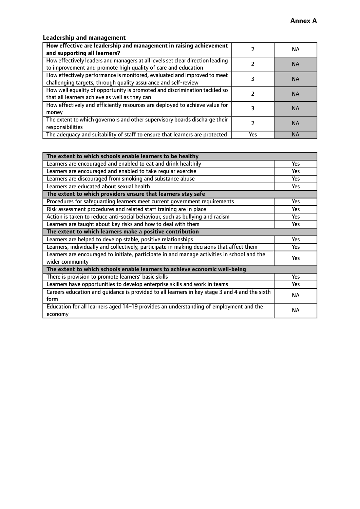# **Leadership and management**

| How effective are leadership and management in raising achievement<br>and supporting all learners?                                              |     | NA.       |
|-------------------------------------------------------------------------------------------------------------------------------------------------|-----|-----------|
| How effectively leaders and managers at all levels set clear direction leading<br>to improvement and promote high quality of care and education |     | <b>NA</b> |
| How effectively performance is monitored, evaluated and improved to meet<br>challenging targets, through quality assurance and self-review      |     | <b>NA</b> |
| How well equality of opportunity is promoted and discrimination tackled so<br>that all learners achieve as well as they can                     |     | <b>NA</b> |
| How effectively and efficiently resources are deployed to achieve value for<br>money                                                            |     | <b>NA</b> |
| The extent to which governors and other supervisory boards discharge their<br>responsibilities                                                  |     | <b>NA</b> |
| The adequacy and suitability of staff to ensure that learners are protected                                                                     | Yes | <b>NA</b> |

| The extent to which schools enable learners to be healthy                                     |            |
|-----------------------------------------------------------------------------------------------|------------|
| Learners are encouraged and enabled to eat and drink healthily                                | Yes        |
| Learners are encouraged and enabled to take regular exercise                                  | <b>Yes</b> |
| Learners are discouraged from smoking and substance abuse                                     | Yes        |
| Learners are educated about sexual health                                                     | Yes        |
| The extent to which providers ensure that learners stay safe                                  |            |
| Procedures for safequarding learners meet current government requirements                     | Yes        |
| Risk assessment procedures and related staff training are in place                            | Yes        |
| Action is taken to reduce anti-social behaviour, such as bullying and racism                  | <b>Yes</b> |
| Learners are taught about key risks and how to deal with them                                 | Yes        |
| The extent to which learners make a positive contribution                                     |            |
| Learners are helped to develop stable, positive relationships                                 |            |
| Learners, individually and collectively, participate in making decisions that affect them     | Yes        |
| Learners are encouraged to initiate, participate in and manage activities in school and the   | <b>Yes</b> |
| wider community                                                                               |            |
| The extent to which schools enable learners to achieve economic well-being                    |            |
| There is provision to promote learners' basic skills                                          | Yes        |
| Learners have opportunities to develop enterprise skills and work in teams                    | Yes        |
| Careers education and quidance is provided to all learners in key stage 3 and 4 and the sixth | <b>NA</b>  |
| form                                                                                          |            |
| Education for all learners aged 14-19 provides an understanding of employment and the         | <b>NA</b>  |
| economy                                                                                       |            |